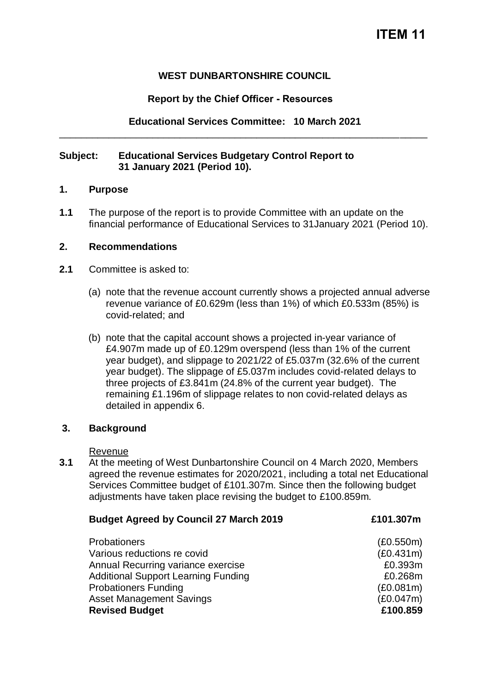# **ITEM 11**

## **WEST DUNBARTONSHIRE COUNCIL**

#### **Report by the Chief Officer - Resources**

**Educational Services Committee: 10 March 2021**  \_\_\_\_\_\_\_\_\_\_\_\_\_\_\_\_\_\_\_\_\_\_\_\_\_\_\_\_\_\_\_\_\_\_\_\_\_\_\_\_\_\_\_\_\_\_\_\_\_\_\_\_\_\_\_\_\_\_\_\_\_\_\_\_\_\_\_

#### **Subject: Educational Services Budgetary Control Report to 31 January 2021 (Period 10).**

#### **1. Purpose**

**1.1** The purpose of the report is to provide Committee with an update on the financial performance of Educational Services to 31January 2021 (Period 10).

#### **2. Recommendations**

- **2.1** Committee is asked to:
	- (a) note that the revenue account currently shows a projected annual adverse revenue variance of £0.629m (less than 1%) of which £0.533m (85%) is covid-related; and
	- (b) note that the capital account shows a projected in-year variance of £4.907m made up of £0.129m overspend (less than 1% of the current year budget), and slippage to 2021/22 of £5.037m (32.6% of the current year budget). The slippage of £5.037m includes covid-related delays to three projects of £3.841m (24.8% of the current year budget). The remaining £1.196m of slippage relates to non covid-related delays as detailed in appendix 6.

#### **3. Background**

Revenue

**3.1** At the meeting of West Dunbartonshire Council on 4 March 2020, Members agreed the revenue estimates for 2020/2021, including a total net Educational Services Committee budget of £101.307m. Since then the following budget adjustments have taken place revising the budget to £100.859m.

| <b>Budget Agreed by Council 27 March 2019</b> | £101.307m |
|-----------------------------------------------|-----------|
| <b>Probationers</b>                           | (E0.550m) |
| Various reductions re covid                   | (E0.431m) |
| Annual Recurring variance exercise            | £0.393m   |
| <b>Additional Support Learning Funding</b>    | £0.268m   |
| <b>Probationers Funding</b>                   | (E0.081m) |
| <b>Asset Management Savings</b>               | (E0.047m) |
| <b>Revised Budget</b>                         | £100.859  |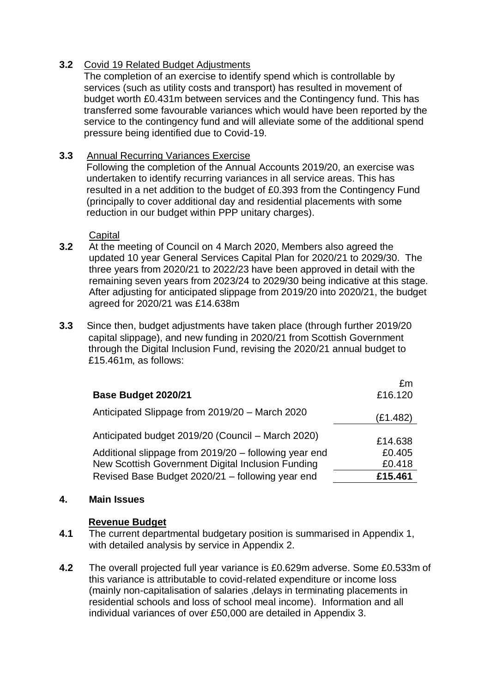## **3.2** Covid 19 Related Budget Adjustments

The completion of an exercise to identify spend which is controllable by services (such as utility costs and transport) has resulted in movement of budget worth £0.431m between services and the Contingency fund. This has transferred some favourable variances which would have been reported by the service to the contingency fund and will alleviate some of the additional spend pressure being identified due to Covid-19.

## **3.3** Annual Recurring Variances Exercise

Following the completion of the Annual Accounts 2019/20, an exercise was undertaken to identify recurring variances in all service areas. This has resulted in a net addition to the budget of £0.393 from the Contingency Fund (principally to cover additional day and residential placements with some reduction in our budget within PPP unitary charges).

**Capital** 

- **3.2** At the meeting of Council on 4 March 2020, Members also agreed the updated 10 year General Services Capital Plan for 2020/21 to 2029/30. The three years from 2020/21 to 2022/23 have been approved in detail with the remaining seven years from 2023/24 to 2029/30 being indicative at this stage. After adjusting for anticipated slippage from 2019/20 into 2020/21, the budget agreed for 2020/21 was £14.638m
- **3.3** Since then, budget adjustments have taken place (through further 2019/20 capital slippage), and new funding in 2020/21 from Scottish Government through the Digital Inclusion Fund, revising the 2020/21 annual budget to £15.461m, as follows:

|                                                       | £m       |
|-------------------------------------------------------|----------|
| Base Budget 2020/21                                   | £16.120  |
| Anticipated Slippage from 2019/20 - March 2020        | (£1.482) |
| Anticipated budget 2019/20 (Council – March 2020)     | £14.638  |
| Additional slippage from 2019/20 - following year end | £0.405   |
| New Scottish Government Digital Inclusion Funding     | £0.418   |
| Revised Base Budget 2020/21 - following year end      | £15.461  |

## **4. Main Issues**

## **Revenue Budget**

- **4.1** The current departmental budgetary position is summarised in Appendix 1, with detailed analysis by service in Appendix 2.
- **4.2** The overall projected full year variance is £0.629m adverse. Some £0.533m of this variance is attributable to covid-related expenditure or income loss (mainly non-capitalisation of salaries ,delays in terminating placements in residential schools and loss of school meal income). Information and all individual variances of over £50,000 are detailed in Appendix 3.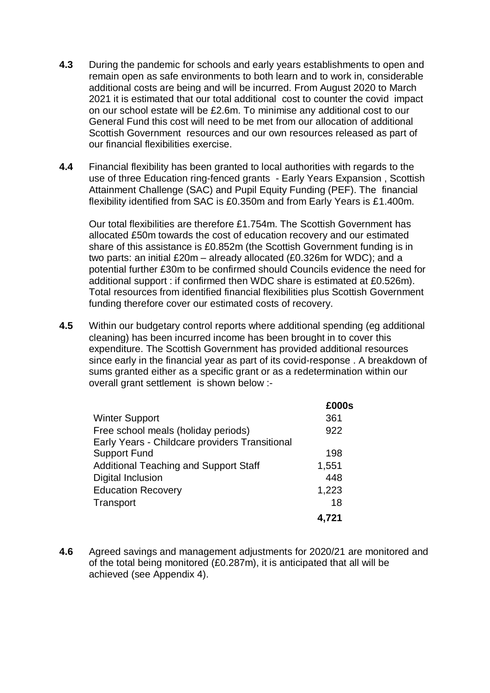- **4.3** During the pandemic for schools and early years establishments to open and remain open as safe environments to both learn and to work in, considerable additional costs are being and will be incurred. From August 2020 to March 2021 it is estimated that our total additional cost to counter the covid impact on our school estate will be £2.6m. To minimise any additional cost to our General Fund this cost will need to be met from our allocation of additional Scottish Government resources and our own resources released as part of our financial flexibilities exercise.
- **4.4** Financial flexibility has been granted to local authorities with regards to the use of three Education ring-fenced grants - Early Years Expansion , Scottish Attainment Challenge (SAC) and Pupil Equity Funding (PEF). The financial flexibility identified from SAC is £0.350m and from Early Years is £1.400m.

Our total flexibilities are therefore £1.754m. The Scottish Government has allocated £50m towards the cost of education recovery and our estimated share of this assistance is £0.852m (the Scottish Government funding is in two parts: an initial £20m – already allocated (£0.326m for WDC); and a potential further £30m to be confirmed should Councils evidence the need for additional support : if confirmed then WDC share is estimated at £0.526m). Total resources from identified financial flexibilities plus Scottish Government funding therefore cover our estimated costs of recovery.

**4.5** Within our budgetary control reports where additional spending (eg additional cleaning) has been incurred income has been brought in to cover this expenditure. The Scottish Government has provided additional resources since early in the financial year as part of its covid-response . A breakdown of sums granted either as a specific grant or as a redetermination within our overall grant settlement is shown below :-

|                                                | £000s |
|------------------------------------------------|-------|
| <b>Winter Support</b>                          | 361   |
| Free school meals (holiday periods)            | 922   |
| Early Years - Childcare providers Transitional |       |
| <b>Support Fund</b>                            | 198   |
| <b>Additional Teaching and Support Staff</b>   | 1,551 |
| Digital Inclusion                              | 448   |
| <b>Education Recovery</b>                      | 1,223 |
| Transport                                      | 18    |
|                                                | 4,721 |

**4.6** Agreed savings and management adjustments for 2020/21 are monitored and of the total being monitored (£0.287m), it is anticipated that all will be achieved (see Appendix 4).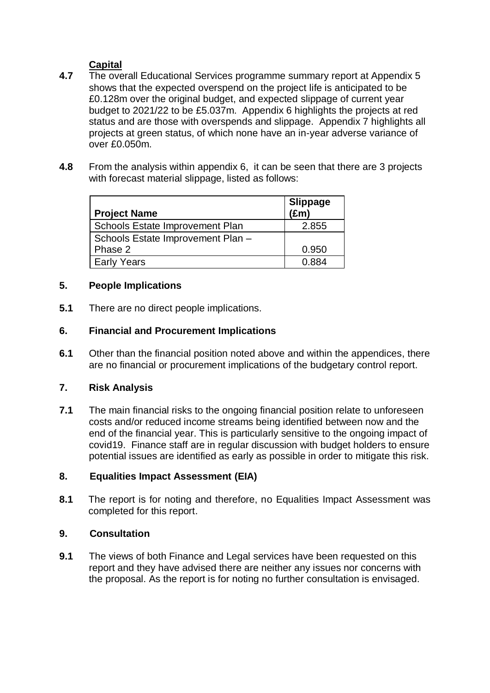# **Capital**

- **4.7** The overall Educational Services programme summary report at Appendix 5 shows that the expected overspend on the project life is anticipated to be £0.128m over the original budget, and expected slippage of current year budget to 2021/22 to be £5.037m. Appendix 6 highlights the projects at red status and are those with overspends and slippage. Appendix 7 highlights all projects at green status, of which none have an in-year adverse variance of over £0.050m.
- **4.8** From the analysis within appendix 6, it can be seen that there are 3 projects with forecast material slippage, listed as follows:

| <b>Project Name</b>               | <b>Slippage</b><br>$(\text{Em})$ |
|-----------------------------------|----------------------------------|
| Schools Estate Improvement Plan   | 2.855                            |
| Schools Estate Improvement Plan - |                                  |
| Phase 2                           | 0.950                            |
| <b>Early Years</b>                | 0.884                            |

## **5. People Implications**

**5.1** There are no direct people implications.

# **6. Financial and Procurement Implications**

**6.1** Other than the financial position noted above and within the appendices, there are no financial or procurement implications of the budgetary control report.

# **7. Risk Analysis**

**7.1** The main financial risks to the ongoing financial position relate to unforeseen costs and/or reduced income streams being identified between now and the end of the financial year. This is particularly sensitive to the ongoing impact of covid19. Finance staff are in regular discussion with budget holders to ensure potential issues are identified as early as possible in order to mitigate this risk.

## **8. Equalities Impact Assessment (EIA)**

**8.1** The report is for noting and therefore, no Equalities Impact Assessment was completed for this report.

## **9. Consultation**

**9.1** The views of both Finance and Legal services have been requested on this report and they have advised there are neither any issues nor concerns with the proposal. As the report is for noting no further consultation is envisaged.